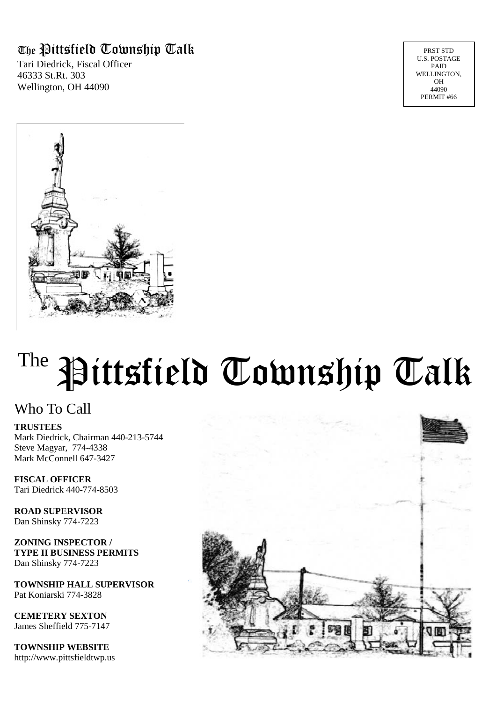### The Pittsfield Township Talk

Tari Diedrick, Fiscal Officer 46333 St.Rt. 303 Wellington, OH 44090

PRST STD U.S. POSTAGE PAID WELLINGTON, OH 44090 PERMIT #66



# <sup>The</sup> Pittsfield Township Talk

#### Who To Call

**TRUSTEES**

Mark Diedrick, Chairman 440-213-5744 Steve Magyar, 774-4338 Mark McConnell 647-3427

**FISCAL OFFICER** Tari Diedrick 440-774-8503

**ROAD SUPERVISOR** Dan Shinsky 774-7223

**ZONING INSPECTOR / TYPE II BUSINESS PERMITS** Dan Shinsky 774-7223

**TOWNSHIP HALL SUPERVISOR** Pat Koniarski 774-3828

**CEMETERY SEXTON** James Sheffield 775-7147

**TOWNSHIP WEBSITE** http://www.pittsfieldtwp.us

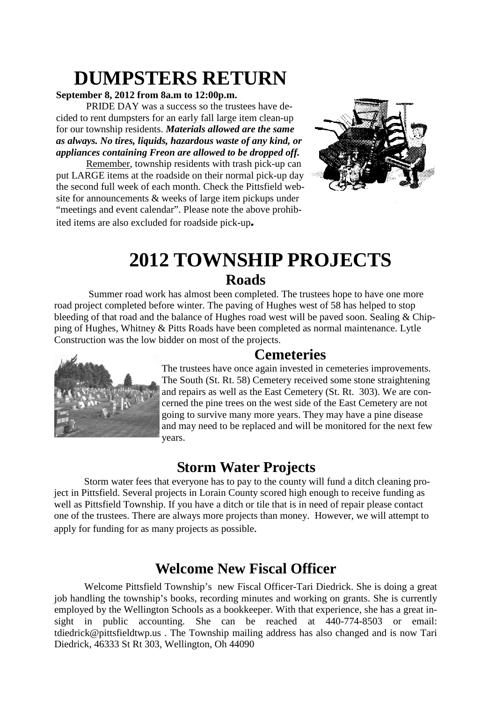## **DUMPSTERS RETURN**

#### **September 8, 2012 from 8a.m to 12:00p.m.**

PRIDE DAY was a success so the trustees have decided to rent dumpsters for an early fall large item clean-up for our township residents. *Materials allowed are the same as always. No tires, liquids, hazardous waste of any kind, or appliances containing Freon are allowed to be dropped off.*

Remember, township residents with trash pick-up can put LARGE items at the roadside on their normal pick-up day the second full week of each month. Check the Pittsfield website for announcements & weeks of large item pickups under "meetings and event calendar". Please note the above prohibited items are also excluded for roadside pick-up*.*



# **2012 TOWNSHIP PROJECTS**

#### **Roads**

Summer road work has almost been completed. The trustees hope to have one more road project completed before winter. The paving of Hughes west of 58 has helped to stop bleeding of that road and the balance of Hughes road west will be paved soon. Sealing & Chipping of Hughes, Whitney & Pitts Roads have been completed as normal maintenance. Lytle Construction was the low bidder on most of the projects.

#### **Cemeteries**



The trustees have once again invested in cemeteries improvements. The South (St. Rt. 58) Cemetery received some stone straightening and repairs as well as the East Cemetery (St. Rt. 303). We are concerned the pine trees on the west side of the East Cemetery are not going to survive many more years. They may have a pine disease and may need to be replaced and will be monitored for the next few years.

#### **Storm Water Projects**

Storm water fees that everyone has to pay to the county will fund a ditch cleaning project in Pittsfield. Several projects in Lorain County scored high enough to receive funding as well as Pittsfield Township. If you have a ditch or tile that is in need of repair please contact one of the trustees. There are always more projects than money. However, we will attempt to apply for funding for as many projects as possible.

## **Welcome New Fiscal Officer**

Welcome Pittsfield Township's new Fiscal Officer-Tari Diedrick. She is doing a great job handling the township's books, recording minutes and working on grants. She is currently employed by the Wellington Schools as a bookkeeper. With that experience, she has a great insight in public accounting. She can be reached at 440-774-8503 or email: tdiedrick@pittsfieldtwp.us . The Township mailing address has also changed and is now Tari Diedrick, 46333 St Rt 303, Wellington, Oh 44090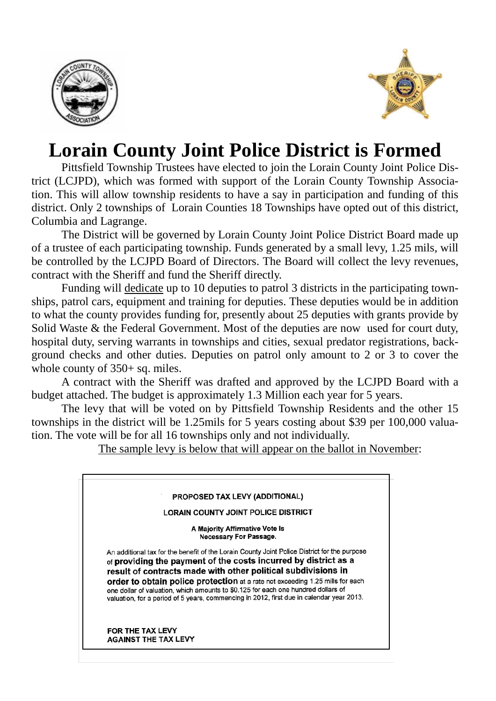



## **Lorain County Joint Police District is Formed**

Pittsfield Township Trustees have elected to join the Lorain County Joint Police District (LCJPD), which was formed with support of the Lorain County Township Association. This will allow township residents to have a say in participation and funding of this district. Only 2 townships of Lorain Counties 18 Townships have opted out of this district, Columbia and Lagrange.

The District will be governed by Lorain County Joint Police District Board made up of a trustee of each participating township. Funds generated by a small levy, 1.25 mils, will be controlled by the LCJPD Board of Directors. The Board will collect the levy revenues, contract with the Sheriff and fund the Sheriff directly.

Funding will dedicate up to 10 deputies to patrol 3 districts in the participating townships, patrol cars, equipment and training for deputies. These deputies would be in addition to what the county provides funding for, presently about 25 deputies with grants provide by Solid Waste & the Federal Government. Most of the deputies are now used for court duty, hospital duty, serving warrants in townships and cities, sexual predator registrations, background checks and other duties. Deputies on patrol only amount to 2 or 3 to cover the whole county of  $350+$  sq. miles.

A contract with the Sheriff was drafted and approved by the LCJPD Board with a budget attached. The budget is approximately 1.3 Million each year for 5 years.

The levy that will be voted on by Pittsfield Township Residents and the other 15 townships in the district will be 1.25mils for 5 years costing about \$39 per 100,000 valuation. The vote will be for all 16 townships only and not individually.

The sample levy is below that will appear on the ballot in November: